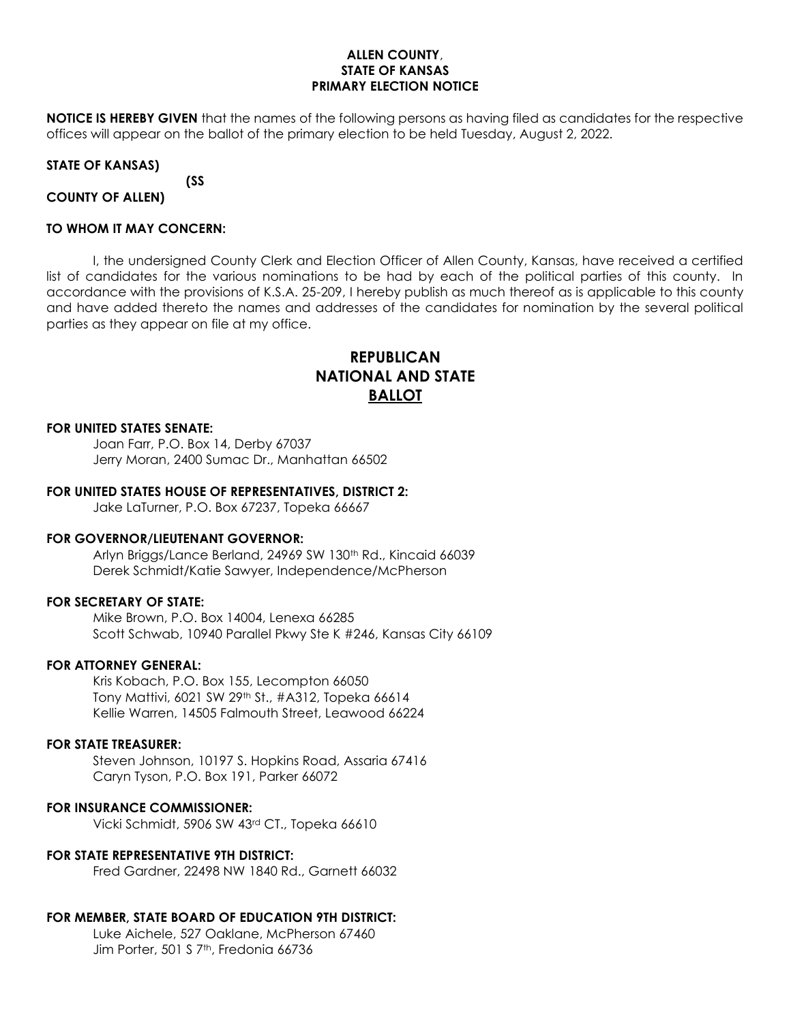## **ALLEN COUNTY**, **STATE OF KANSAS PRIMARY ELECTION NOTICE**

**NOTICE IS HEREBY GIVEN** that the names of the following persons as having filed as candidates for the respective offices will appear on the ballot of the primary election to be held Tuesday, August 2, 2022.

## **STATE OF KANSAS)**

**(SS**

**COUNTY OF ALLEN)**

## **TO WHOM IT MAY CONCERN:**

I, the undersigned County Clerk and Election Officer of Allen County, Kansas, have received a certified list of candidates for the various nominations to be had by each of the political parties of this county. In accordance with the provisions of K.S.A. 25-209, I hereby publish as much thereof as is applicable to this county and have added thereto the names and addresses of the candidates for nomination by the several political parties as they appear on file at my office.

# **REPUBLICAN NATIONAL AND STATE BALLOT**

### **FOR UNITED STATES SENATE:**

Joan Farr, P.O. Box 14, Derby 67037 Jerry Moran, 2400 Sumac Dr., Manhattan 66502

### **FOR UNITED STATES HOUSE OF REPRESENTATIVES, DISTRICT 2:**

Jake LaTurner, P.O. Box 67237, Topeka 66667

### **FOR GOVERNOR/LIEUTENANT GOVERNOR:**

Arlyn Briggs/Lance Berland, 24969 SW 130<sup>th</sup> Rd., Kincaid 66039 Derek Schmidt/Katie Sawyer, Independence/McPherson

### **FOR SECRETARY OF STATE:**

Mike Brown, P.O. Box 14004, Lenexa 66285 Scott Schwab, 10940 Parallel Pkwy Ste K #246, Kansas City 66109

### **FOR ATTORNEY GENERAL:**

Kris Kobach, P.O. Box 155, Lecompton 66050 Tony Mattivi, 6021 SW 29th St., #A312, Topeka 66614 Kellie Warren, 14505 Falmouth Street, Leawood 66224

### **FOR STATE TREASURER:**

Steven Johnson, 10197 S. Hopkins Road, Assaria 67416 Caryn Tyson, P.O. Box 191, Parker 66072

## **FOR INSURANCE COMMISSIONER:**

Vicki Schmidt, 5906 SW 43rd CT., Topeka 66610

### **FOR STATE REPRESENTATIVE 9TH DISTRICT:**

Fred Gardner, 22498 NW 1840 Rd., Garnett 66032

## **FOR MEMBER, STATE BOARD OF EDUCATION 9TH DISTRICT:**

Luke Aichele, 527 Oaklane, McPherson 67460 Jim Porter, 501 S 7<sup>th</sup>, Fredonia 66736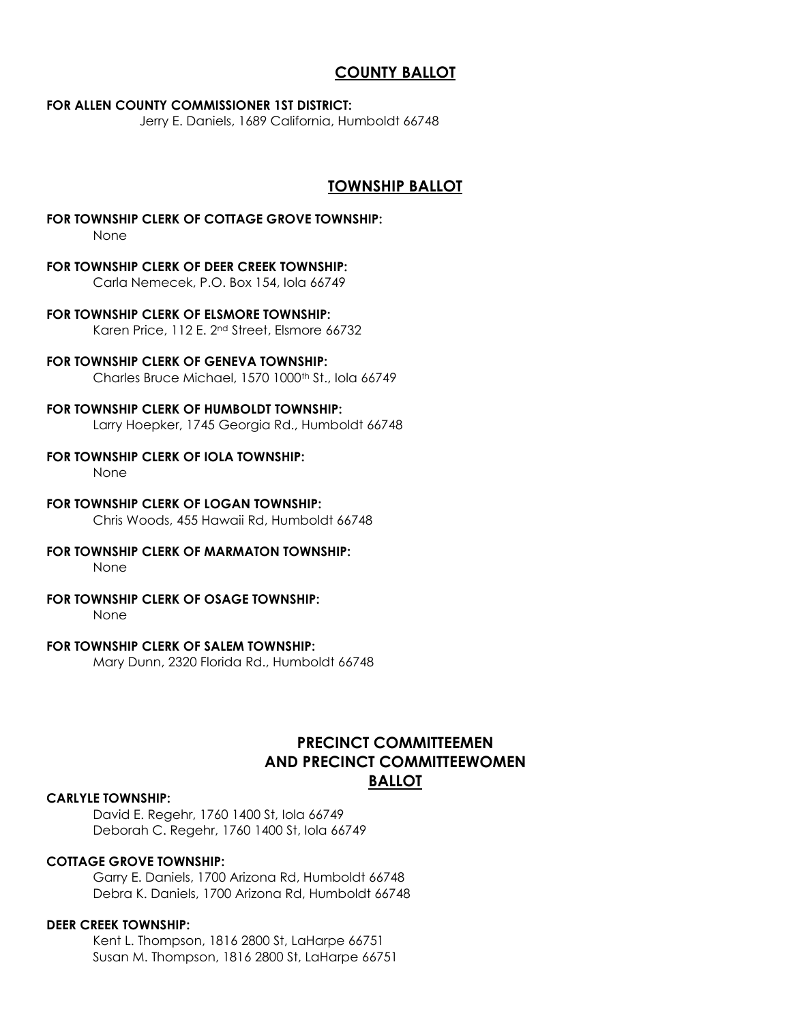# **COUNTY BALLOT**

## **FOR ALLEN COUNTY COMMISSIONER 1ST DISTRICT:**

Jerry E. Daniels, 1689 California, Humboldt 66748

## **TOWNSHIP BALLOT**

**FOR TOWNSHIP CLERK OF COTTAGE GROVE TOWNSHIP:**

None

## **FOR TOWNSHIP CLERK OF DEER CREEK TOWNSHIP:**

Carla Nemecek, P.O. Box 154, Iola 66749

- **FOR TOWNSHIP CLERK OF ELSMORE TOWNSHIP:** Karen Price, 112 E. 2nd Street, Elsmore 66732
- **FOR TOWNSHIP CLERK OF GENEVA TOWNSHIP:** Charles Bruce Michael, 1570 1000<sup>th</sup> St., Iola 66749

## **FOR TOWNSHIP CLERK OF HUMBOLDT TOWNSHIP:**

Larry Hoepker, 1745 Georgia Rd., Humboldt 66748

**FOR TOWNSHIP CLERK OF IOLA TOWNSHIP:**

None

## **FOR TOWNSHIP CLERK OF LOGAN TOWNSHIP:**

Chris Woods, 455 Hawaii Rd, Humboldt 66748

## **FOR TOWNSHIP CLERK OF MARMATON TOWNSHIP:**

None

## **FOR TOWNSHIP CLERK OF OSAGE TOWNSHIP:**

None

## **FOR TOWNSHIP CLERK OF SALEM TOWNSHIP:**

Mary Dunn, 2320 Florida Rd., Humboldt 66748

## **PRECINCT COMMITTEEMEN AND PRECINCT COMMITTEEWOMEN BALLOT**

## **CARLYLE TOWNSHIP:**

David E. Regehr, 1760 1400 St, Iola 66749 Deborah C. Regehr, 1760 1400 St, Iola 66749

## **COTTAGE GROVE TOWNSHIP:**

Garry E. Daniels, 1700 Arizona Rd, Humboldt 66748 Debra K. Daniels, 1700 Arizona Rd, Humboldt 66748

### **DEER CREEK TOWNSHIP:**

Kent L. Thompson, 1816 2800 St, LaHarpe 66751 Susan M. Thompson, 1816 2800 St, LaHarpe 66751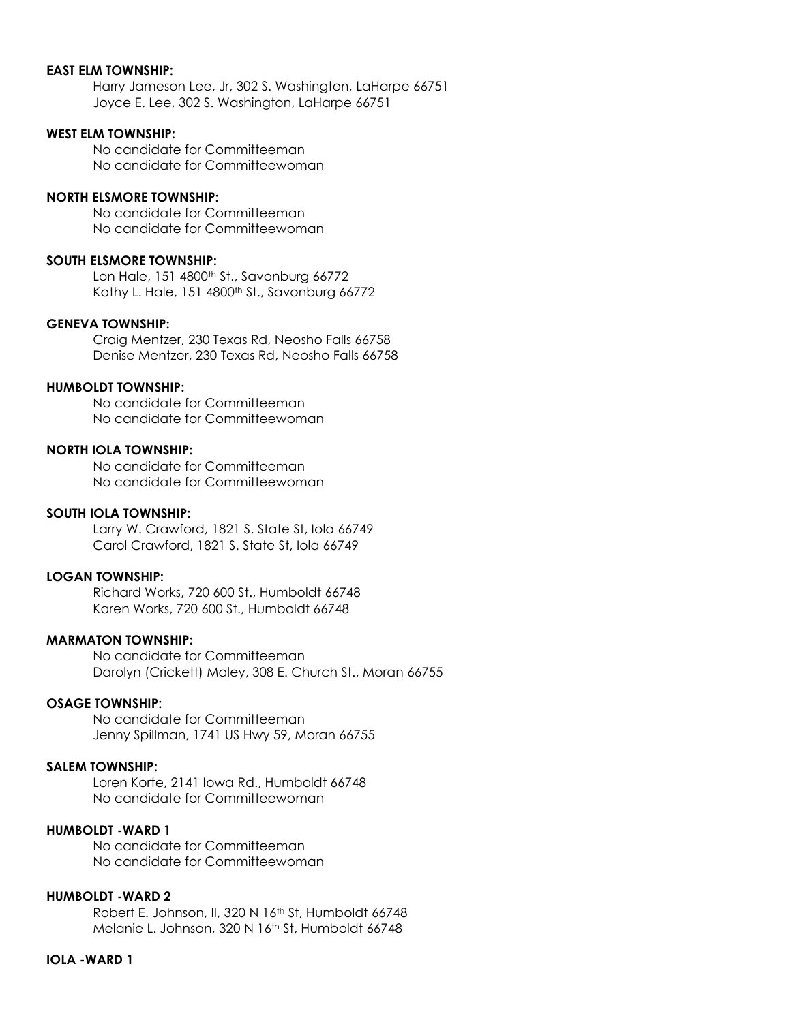## **EAST ELM TOWNSHIP:**

Harry Jameson Lee, Jr, 302 S. Washington, LaHarpe 66751 Joyce E. Lee, 302 S. Washington, LaHarpe 66751

## **WEST ELM TOWNSHIP:**

No candidate for Committeeman No candidate for Committeewoman

### **NORTH ELSMORE TOWNSHIP:**

No candidate for Committeeman No candidate for Committeewoman

## **SOUTH ELSMORE TOWNSHIP:**

Lon Hale, 151 4800<sup>th</sup> St., Savonburg 66772 Kathy L. Hale, 151 4800<sup>th</sup> St., Savonburg 66772

### **GENEVA TOWNSHIP:**

Craig Mentzer, 230 Texas Rd, Neosho Falls 66758 Denise Mentzer, 230 Texas Rd, Neosho Falls 66758

## **HUMBOLDT TOWNSHIP:**

No candidate for Committeeman No candidate for Committeewoman

## **NORTH IOLA TOWNSHIP:**

No candidate for Committeeman No candidate for Committeewoman

#### **SOUTH IOLA TOWNSHIP:**

Larry W. Crawford, 1821 S. State St, Iola 66749 Carol Crawford, 1821 S. State St, Iola 66749

## **LOGAN TOWNSHIP:**

Richard Works, 720 600 St., Humboldt 66748 Karen Works, 720 600 St., Humboldt 66748

## **MARMATON TOWNSHIP:**

No candidate for Committeeman Darolyn (Crickett) Maley, 308 E. Church St., Moran 66755

### **OSAGE TOWNSHIP:**

No candidate for Committeeman Jenny Spillman, 1741 US Hwy 59, Moran 66755

### **SALEM TOWNSHIP:**

Loren Korte, 2141 Iowa Rd., Humboldt 66748 No candidate for Committeewoman

## **HUMBOLDT -WARD 1**

No candidate for Committeeman No candidate for Committeewoman

#### **HUMBOLDT -WARD 2**

Robert E. Johnson, II, 320 N 16th St, Humboldt 66748 Melanie L. Johnson, 320 N 16<sup>th</sup> St, Humboldt 66748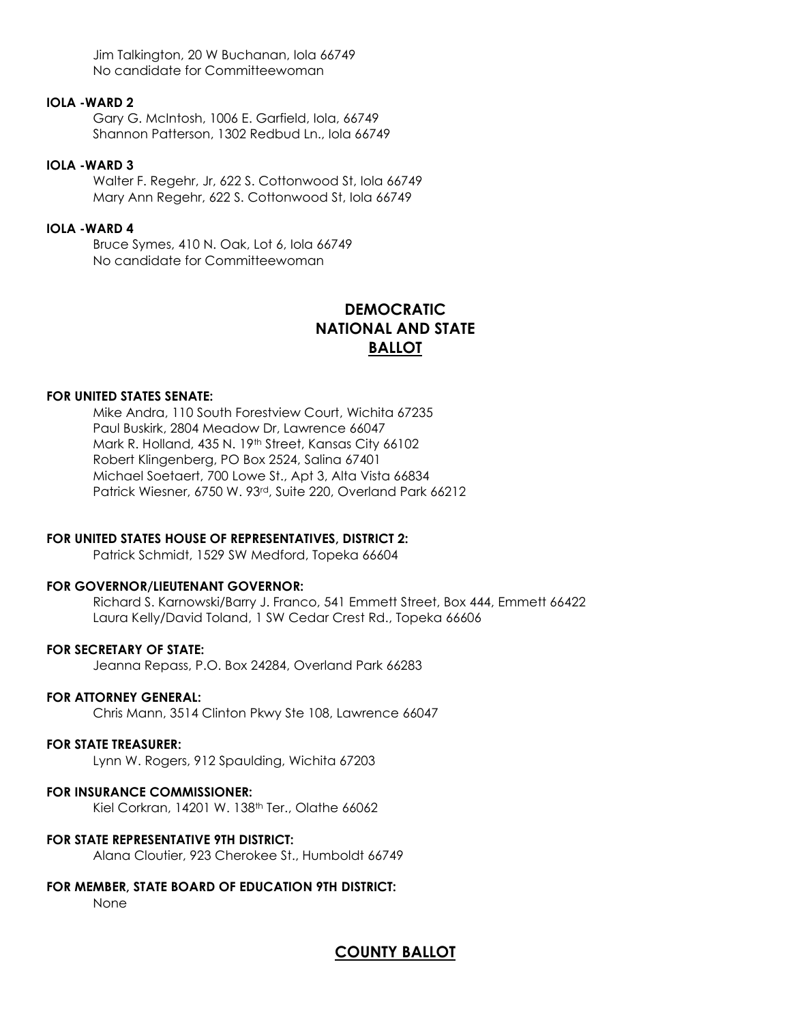Jim Talkington, 20 W Buchanan, Iola 66749 No candidate for Committeewoman

## **IOLA -WARD 2**

Gary G. McIntosh, 1006 E. Garfield, Iola, 66749 Shannon Patterson, 1302 Redbud Ln., Iola 66749

## **IOLA -WARD 3**

Walter F. Regehr, Jr, 622 S. Cottonwood St, Iola 66749 Mary Ann Regehr, 622 S. Cottonwood St, Iola 66749

## **IOLA -WARD 4**

Bruce Symes, 410 N. Oak, Lot 6, Iola 66749 No candidate for Committeewoman

# **DEMOCRATIC NATIONAL AND STATE BALLOT**

## **FOR UNITED STATES SENATE:**

Mike Andra, 110 South Forestview Court, Wichita 67235 Paul Buskirk, 2804 Meadow Dr, Lawrence 66047 Mark R. Holland, 435 N. 19<sup>th</sup> Street, Kansas City 66102 Robert Klingenberg, PO Box 2524, Salina 67401 Michael Soetaert, 700 Lowe St., Apt 3, Alta Vista 66834 Patrick Wiesner, 6750 W. 93rd, Suite 220, Overland Park 66212

## **FOR UNITED STATES HOUSE OF REPRESENTATIVES, DISTRICT 2:**

Patrick Schmidt, 1529 SW Medford, Topeka 66604

### **FOR GOVERNOR/LIEUTENANT GOVERNOR:**

Richard S. Karnowski/Barry J. Franco, 541 Emmett Street, Box 444, Emmett 66422 Laura Kelly/David Toland, 1 SW Cedar Crest Rd., Topeka 66606

### **FOR SECRETARY OF STATE:**

Jeanna Repass, P.O. Box 24284, Overland Park 66283

## **FOR ATTORNEY GENERAL:**

Chris Mann, 3514 Clinton Pkwy Ste 108, Lawrence 66047

## **FOR STATE TREASURER:**

Lynn W. Rogers, 912 Spaulding, Wichita 67203

### **FOR INSURANCE COMMISSIONER:**

Kiel Corkran, 14201 W. 138th Ter., Olathe 66062

### **FOR STATE REPRESENTATIVE 9TH DISTRICT:**

Alana Cloutier, 923 Cherokee St., Humboldt 66749

## **FOR MEMBER, STATE BOARD OF EDUCATION 9TH DISTRICT:**

None

## **COUNTY BALLOT**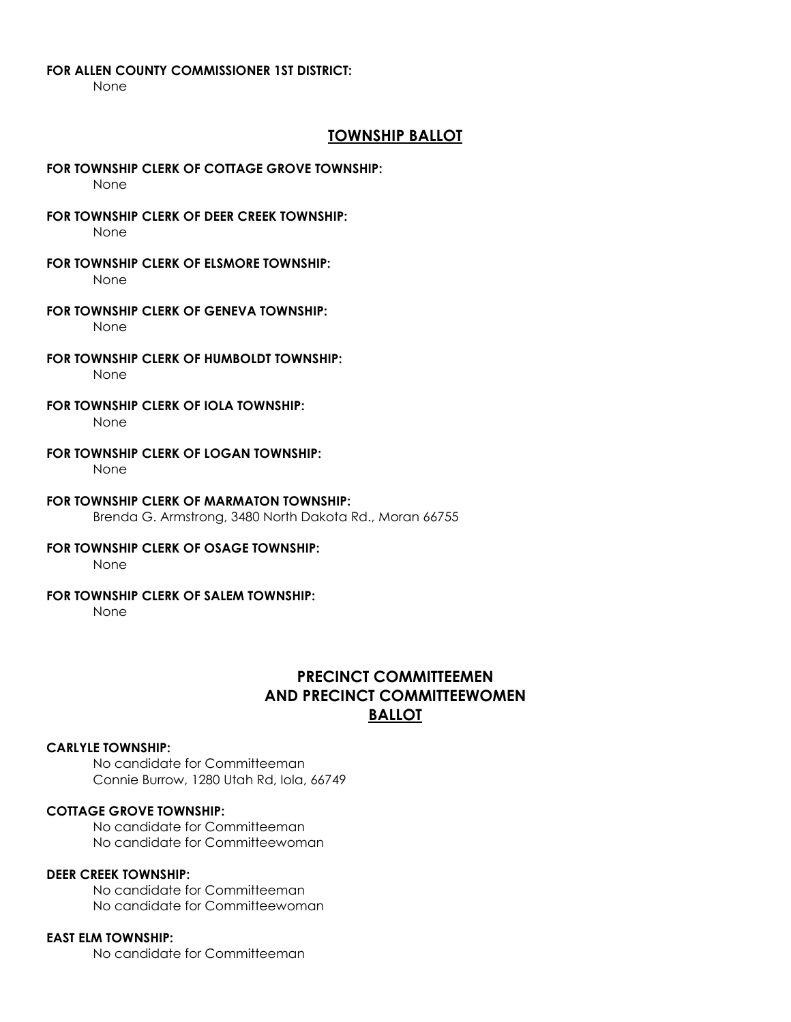### **FOR ALLEN COUNTY COMMISSIONER 1ST DISTRICT:**

None

## **TOWNSHIP BALLOT**

#### **FOR TOWNSHIP CLERK OF COTTAGE GROVE TOWNSHIP:**

None

**FOR TOWNSHIP CLERK OF DEER CREEK TOWNSHIP:**

None

- **FOR TOWNSHIP CLERK OF ELSMORE TOWNSHIP:** None
- **FOR TOWNSHIP CLERK OF GENEVA TOWNSHIP:** None
- **FOR TOWNSHIP CLERK OF HUMBOLDT TOWNSHIP:**

None

**FOR TOWNSHIP CLERK OF IOLA TOWNSHIP:**

None

**FOR TOWNSHIP CLERK OF LOGAN TOWNSHIP:**

None

- **FOR TOWNSHIP CLERK OF MARMATON TOWNSHIP:** Brenda G. Armstrong, 3480 North Dakota Rd., Moran 66755
- **FOR TOWNSHIP CLERK OF OSAGE TOWNSHIP:**

None

## **FOR TOWNSHIP CLERK OF SALEM TOWNSHIP:**

None

# **PRECINCT COMMITTEEMEN AND PRECINCT COMMITTEEWOMEN BALLOT**

### **CARLYLE TOWNSHIP:**

No candidate for Committeeman Connie Burrow, 1280 Utah Rd, Iola, 66749

## **COTTAGE GROVE TOWNSHIP:**

No candidate for Committeeman No candidate for Committeewoman

## **DEER CREEK TOWNSHIP:**

No candidate for Committeeman No candidate for Committeewoman

## **EAST ELM TOWNSHIP:**

No candidate for Committeeman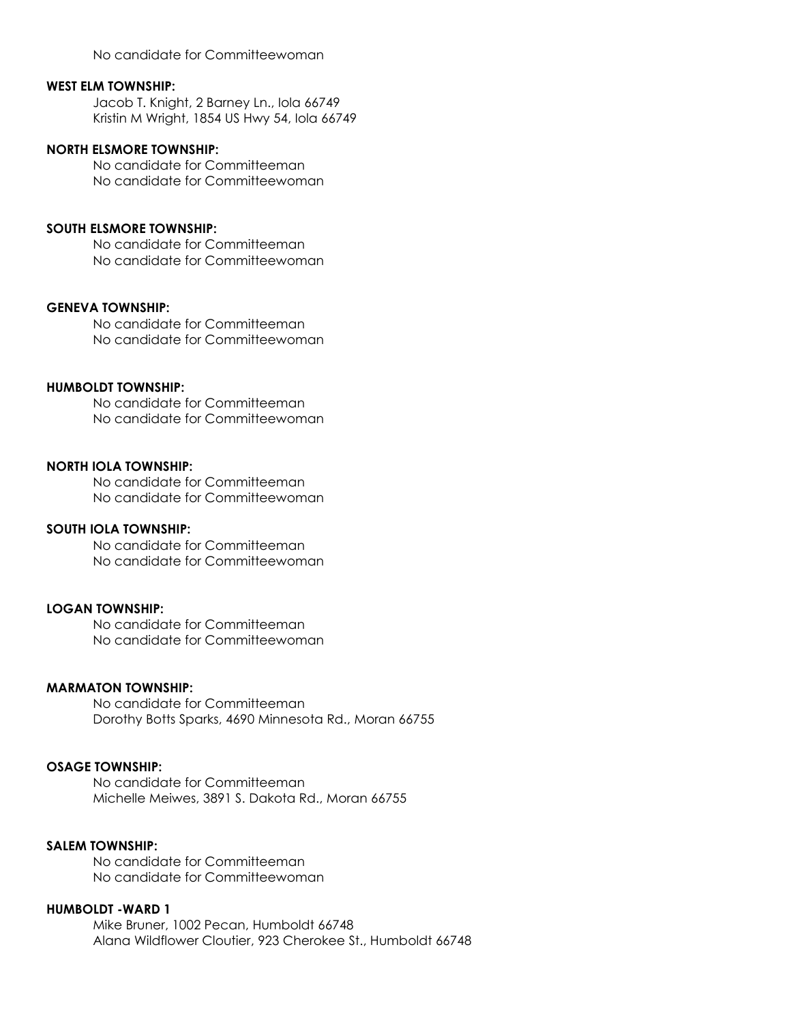No candidate for Committeewoman

### **WEST ELM TOWNSHIP:**

Jacob T. Knight, 2 Barney Ln., Iola 66749 Kristin M Wright, 1854 US Hwy 54, Iola 66749

## **NORTH ELSMORE TOWNSHIP:**

No candidate for Committeeman No candidate for Committeewoman

### **SOUTH ELSMORE TOWNSHIP:**

No candidate for Committeeman No candidate for Committeewoman

## **GENEVA TOWNSHIP:**

No candidate for Committeeman No candidate for Committeewoman

## **HUMBOLDT TOWNSHIP:**

No candidate for Committeeman No candidate for Committeewoman

### **NORTH IOLA TOWNSHIP:**

No candidate for Committeeman No candidate for Committeewoman

## **SOUTH IOLA TOWNSHIP:**

No candidate for Committeeman No candidate for Committeewoman

## **LOGAN TOWNSHIP:**

No candidate for Committeeman No candidate for Committeewoman

### **MARMATON TOWNSHIP:**

No candidate for Committeeman Dorothy Botts Sparks, 4690 Minnesota Rd., Moran 66755

## **OSAGE TOWNSHIP:**

No candidate for Committeeman Michelle Meiwes, 3891 S. Dakota Rd., Moran 66755

## **SALEM TOWNSHIP:**

No candidate for Committeeman No candidate for Committeewoman

## **HUMBOLDT -WARD 1**

Mike Bruner, 1002 Pecan, Humboldt 66748 Alana Wildflower Cloutier, 923 Cherokee St., Humboldt 66748